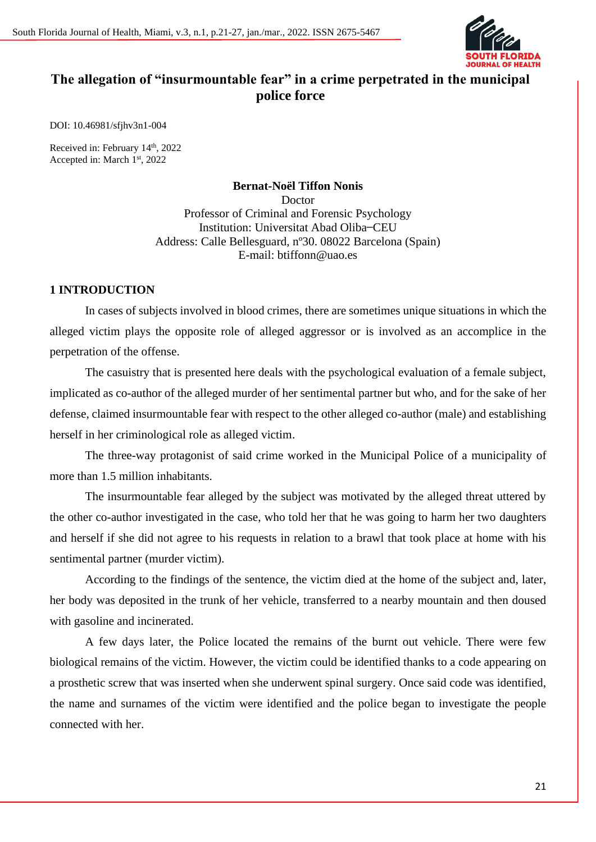

# **The allegation of "insurmountable fear" in a crime perpetrated in the municipal police force**

DOI: 10.46981/sfjhv3n1-004

Received in: February 14<sup>th</sup>, 2022 Accepted in: March 1<sup>st</sup>, 2022

> **Bernat-Noël Tiffon Nonis** Doctor Professor of Criminal and Forensic Psychology Institution: Universitat Abad Oliba ̶CEU Address: Calle Bellesguard, nº30. 08022 Barcelona (Spain) E-mail: btiffonn@uao.es

### **1 INTRODUCTION**

In cases of subjects involved in blood crimes, there are sometimes unique situations in which the alleged victim plays the opposite role of alleged aggressor or is involved as an accomplice in the perpetration of the offense.

The casuistry that is presented here deals with the psychological evaluation of a female subject, implicated as co-author of the alleged murder of her sentimental partner but who, and for the sake of her defense, claimed insurmountable fear with respect to the other alleged co-author (male) and establishing herself in her criminological role as alleged victim.

The three-way protagonist of said crime worked in the Municipal Police of a municipality of more than 1.5 million inhabitants.

The insurmountable fear alleged by the subject was motivated by the alleged threat uttered by the other co-author investigated in the case, who told her that he was going to harm her two daughters and herself if she did not agree to his requests in relation to a brawl that took place at home with his sentimental partner (murder victim).

According to the findings of the sentence, the victim died at the home of the subject and, later, her body was deposited in the trunk of her vehicle, transferred to a nearby mountain and then doused with gasoline and incinerated.

A few days later, the Police located the remains of the burnt out vehicle. There were few biological remains of the victim. However, the victim could be identified thanks to a code appearing on a prosthetic screw that was inserted when she underwent spinal surgery. Once said code was identified, the name and surnames of the victim were identified and the police began to investigate the people connected with her.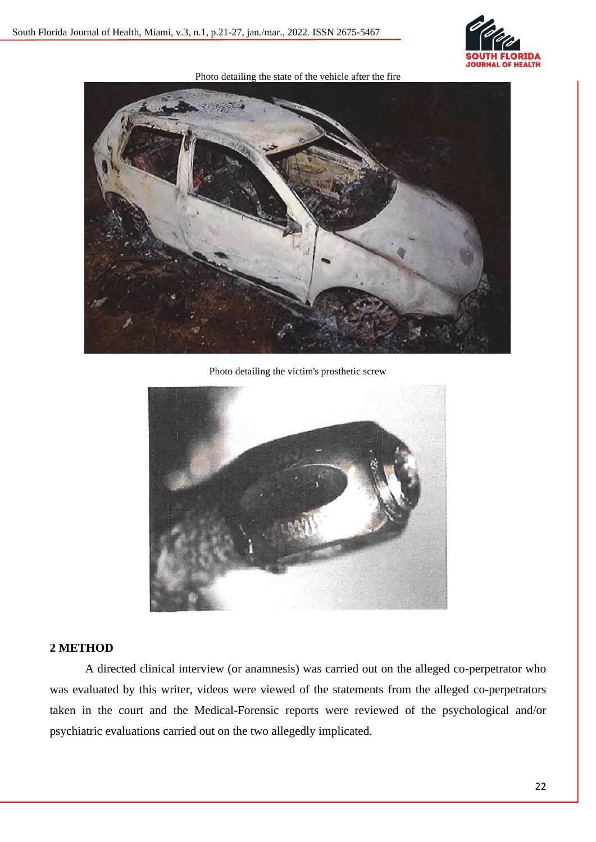

Photo detailing the state of the vehicle after the fire



Photo detailing the victim's prosthetic screw



## **2 METHOD**

A directed clinical interview (or anamnesis) was carried out on the alleged co-perpetrator who was evaluated by this writer, videos were viewed of the statements from the alleged co-perpetrators taken in the court and the Medical-Forensic reports were reviewed of the psychological and/or psychiatric evaluations carried out on the two allegedly implicated.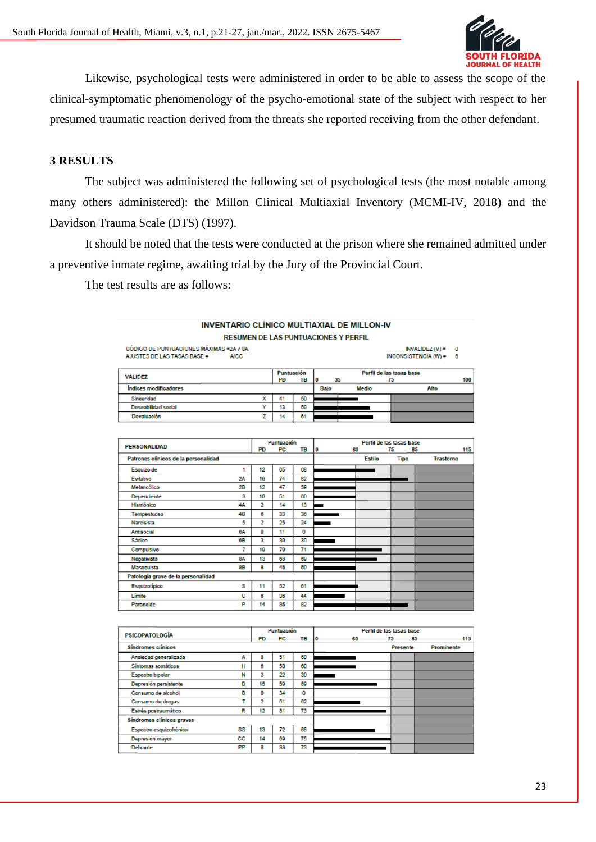

Likewise, psychological tests were administered in order to be able to assess the scope of the clinical-symptomatic phenomenology of the psycho-emotional state of the subject with respect to her presumed traumatic reaction derived from the threats she reported receiving from the other defendant.

## **3 RESULTS**

The subject was administered the following set of psychological tests (the most notable among many others administered): the Millon Clinical Multiaxial Inventory (MCMI-IV, 2018) and the Davidson Trauma Scale (DTS) (1997).

It should be noted that the tests were conducted at the prison where she remained admitted under a preventive inmate regime, awaiting trial by the Jury of the Provincial Court.

The test results are as follows:

|                                          |                                             |           |                         |           |                  |    | <b>INVENTARIO CLÍNICO MULTIAXIAL DE MILLON-IV</b> |                                |                          |     |
|------------------------------------------|---------------------------------------------|-----------|-------------------------|-----------|------------------|----|---------------------------------------------------|--------------------------------|--------------------------|-----|
|                                          | <b>RESUMEN DE LAS PUNTUACIONES Y PERFIL</b> |           |                         |           |                  |    |                                                   |                                |                          |     |
| CÓDIGO DE PUNTUACIONES MÁXIMAS = 2A 7 8A |                                             |           |                         |           |                  |    |                                                   |                                | $INVALIDEZ (V) =$        | O   |
| AJUSTES DE LAS TASAS BASE =              | <b>A/CC</b>                                 |           |                         |           |                  |    |                                                   |                                | INCONSISTENCIA $(W) = 6$ |     |
|                                          |                                             |           |                         |           |                  |    |                                                   |                                |                          |     |
| <b>VALIDEZ</b>                           |                                             |           | Puntuación              |           |                  |    |                                                   | Perfil de las tasas base       |                          |     |
| <b>Índices modificadores</b>             |                                             |           | <b>PD</b>               | <b>TB</b> | $\bf{0}$<br>Bajo | 35 | <b>Medio</b>                                      | 75                             | Alto                     | 100 |
| Sinceridad                               |                                             |           | 41                      | 50        |                  |    |                                                   |                                |                          |     |
| <b>Deseabilidad social</b>               |                                             | x<br>Y    | 13                      | 59        |                  |    |                                                   |                                |                          |     |
| Devaluación                              |                                             | z         | 14                      | 61        |                  |    |                                                   |                                |                          |     |
|                                          |                                             |           |                         |           |                  |    |                                                   |                                |                          |     |
|                                          |                                             |           |                         |           |                  |    |                                                   |                                |                          |     |
|                                          |                                             |           |                         |           |                  |    |                                                   |                                |                          |     |
| <b>PERSONALIDAD</b>                      |                                             | <b>PD</b> | Puntuación<br><b>PC</b> | TB        | $\bf{0}$         |    | 60                                                | Perfil de las tasas base<br>75 | 85                       | 115 |
| Patrones clínicos de la personalidad     |                                             |           |                         |           |                  |    | <b>Estilo</b>                                     | <b>Tipo</b>                    | <b>Trastorno</b>         |     |
| Esquizoide                               | 1                                           | 12        | 65                      | 68        |                  |    |                                                   |                                |                          |     |
| Evitativo                                | 2A                                          | 16        | 74                      | 82        |                  |    |                                                   |                                |                          |     |
| Melancólico                              | 2B                                          | 12        | 47                      | 50        |                  |    |                                                   |                                |                          |     |
| <b>Dependiente</b>                       | 3                                           | 10        | 51                      | 60        |                  |    |                                                   |                                |                          |     |
| Histriónico                              | 4А                                          | 2         | 14                      | 13        | -                |    |                                                   |                                |                          |     |
| Tempestuoso                              | 4B                                          | 6         | 33                      | 36        |                  |    |                                                   |                                |                          |     |
| Narcisista                               | 5                                           | 2         | 25                      | 24        |                  |    |                                                   |                                |                          |     |
|                                          |                                             |           |                         |           |                  |    |                                                   |                                |                          |     |
| <b>Antisocial</b>                        | <b>BA</b>                                   | o         | 11                      | O         |                  |    |                                                   |                                |                          |     |
| Sádico                                   | 68                                          | 3         | 30                      | 30        |                  |    |                                                   |                                |                          |     |
| Compulsivo                               | 7                                           | 19        | 79                      | 71        |                  |    |                                                   |                                |                          |     |
| Negativista                              | <b>8A</b>                                   | 13        | 68                      | 69        |                  |    |                                                   |                                |                          |     |
| Masoquista                               | 8B                                          | 8         | 46                      | 59        |                  |    |                                                   |                                |                          |     |
| Patología grave de la personalidad       |                                             |           |                         |           |                  |    |                                                   |                                |                          |     |
| Esquizotípico                            | s                                           | 11        | 52                      | 61        |                  |    |                                                   |                                |                          |     |
| Limite                                   | c                                           | R         | 36                      | 44        |                  |    |                                                   |                                |                          |     |

| <b>PSICOPATOLOGÍA</b>            |    |    | Puntuación |    | Perfil de las tasas base |                 |                   |  |  |
|----------------------------------|----|----|------------|----|--------------------------|-----------------|-------------------|--|--|
|                                  |    | PD | PC         | TB | 60<br>10                 | 75              | 115<br>85         |  |  |
| <b>Sindromes clinicos</b>        |    |    |            |    |                          | <b>Presente</b> | <b>Prominente</b> |  |  |
| Ansiedad generalizada            | Α  | 8  | 51         | 60 |                          |                 |                   |  |  |
| Sintomas somáticos               | н  | 6  | 50         | 60 |                          |                 |                   |  |  |
| <b>Espectro bipolar</b>          | N  | 3  | 22         | 30 |                          |                 |                   |  |  |
| Depresión persistente            | D  | 15 | 59         | 69 |                          |                 |                   |  |  |
| Consumo de alcohol               | в  | o  | 34         | 0  |                          |                 |                   |  |  |
| Consumo de drogas                | ٠  | 2  | 61         | 62 |                          |                 |                   |  |  |
| Estrés postraumático             | R  | 12 | 81         | 73 |                          |                 |                   |  |  |
| <b>Sindromes clinicos graves</b> |    |    |            |    |                          |                 |                   |  |  |
| Espectro esquizofrénico          | SS | 13 | 72         | 68 |                          |                 |                   |  |  |
| Depresión mayor                  | СC | 14 | 69         | 75 |                          |                 |                   |  |  |
| <b>Delirante</b>                 | PP | 8  | 88         | 73 |                          |                 |                   |  |  |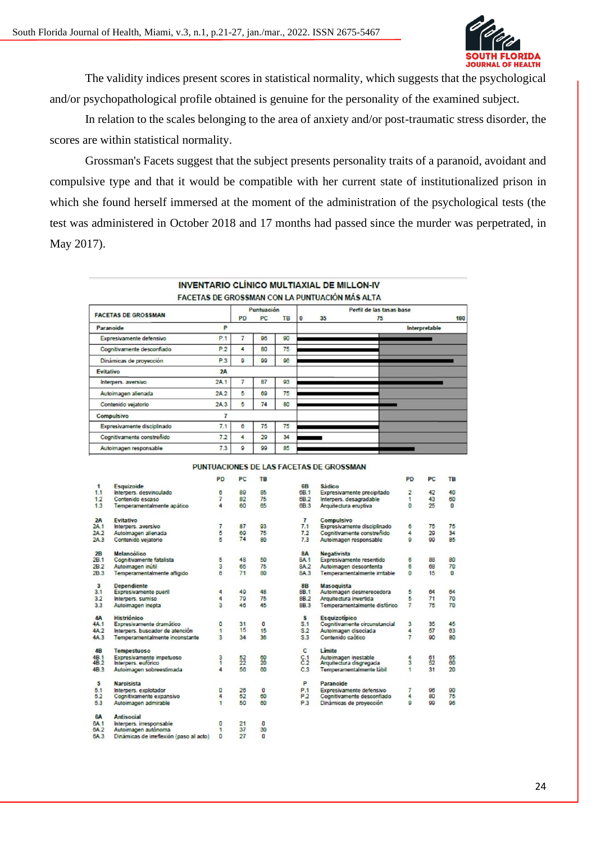

The validity indices present scores in statistical normality, which suggests that the psychological and/or psychopathological profile obtained is genuine for the personality of the examined subject.

In relation to the scales belonging to the area of anxiety and/or post-traumatic stress disorder, the scores are within statistical normality.

Grossman's Facets suggest that the subject presents personality traits of a paranoid, avoidant and compulsive type and that it would be compatible with her current state of institutionalized prison in which she found herself immersed at the moment of the administration of the psychological tests (the test was administered in October 2018 and 17 months had passed since the murder was perpetrated, in May 2017).

|                             | <b>INVENTARIO CLÍNICO MULTIAXIAL DE MILLON-IV</b><br>FACETAS DE GROSSMAN CON LA PUNTUACIÓN MÁS ALTA |            |           |    |          |                          |                      |     |  |  |
|-----------------------------|-----------------------------------------------------------------------------------------------------|------------|-----------|----|----------|--------------------------|----------------------|-----|--|--|
|                             |                                                                                                     | Puntuación |           |    |          | Perfil de las tasas base |                      |     |  |  |
| <b>FACETAS DE GROSSMAN</b>  |                                                                                                     | PD         | <b>PC</b> | TB | $\bf{0}$ | 35                       | 75                   | 100 |  |  |
| Paranoide                   | P                                                                                                   |            |           |    |          |                          | <b>Interpretable</b> |     |  |  |
| Expresivamente defensivo    | P.1                                                                                                 |            | 96        | 90 |          |                          |                      |     |  |  |
| Cognitivamente desconfiado  | P.2                                                                                                 | 4          | 80        | 75 |          |                          |                      |     |  |  |
| Dinámicas de proyección     | P.3                                                                                                 | 9          | 99        | 96 |          |                          |                      |     |  |  |
| <b>Evitativo</b>            | 2A                                                                                                  |            |           |    |          |                          |                      |     |  |  |
| Interpers, aversivo         | 2A.1                                                                                                |            | 87        | 93 |          |                          |                      |     |  |  |
| Autoimagen alienada         | 2A.2                                                                                                | 5          | 69        | 75 |          |                          |                      |     |  |  |
| Contenido vejatorio         | 2A.3                                                                                                | 5          | 74        | 80 |          |                          |                      |     |  |  |
| Compulsivo                  | 7                                                                                                   |            |           |    |          |                          |                      |     |  |  |
| Expresivamente disciplinado | 7.1                                                                                                 | 6          | 75        | 75 |          |                          |                      |     |  |  |
| Cognitivamente constrenido  | 7.2                                                                                                 | 4          | 29        | 34 |          |                          |                      |     |  |  |
| Autoimagen responsable      | 73                                                                                                  | a          | 99        | 85 |          |                          |                      |     |  |  |

#### PUNTUACIONES DE LAS FACETAS DE GROSSMAN

|                         |                                         | PD           | <b>PC</b> | <b>TB</b>      |                 |                               | <b>PD</b>      | PC | <b>TB</b>      |
|-------------------------|-----------------------------------------|--------------|-----------|----------------|-----------------|-------------------------------|----------------|----|----------------|
| 1                       | Esquizoide                              |              |           |                | 6B              | <b>Sádico</b>                 |                |    |                |
| 1.1                     | Interpers, desvinculado                 | 6            | 89        | 85             | 6B.1            | Expresivamente precipitado    | $\overline{2}$ | 42 | 40             |
| 1.2                     | Contenido escaso                        | 7            | 82        | 75             | 6B.2            | Interpers, desagradable       | 1              | 43 | 60             |
| 1.3                     | Temperamentalmente apático              | 4            | 60        | 65             | 6B <sub>3</sub> | Arquitectura eruptiva         | $\mathbf{a}$   | 25 | $\Omega$       |
| 2A                      | Evitativo                               |              |           |                | $\overline{7}$  | <b>Compulsivo</b>             |                |    |                |
| 2A.1                    | Interpers, aversivo                     | 7            | 87        | Q <sub>3</sub> | 7.1             | Expresivamente disciplinado   | 6              | 75 | 75             |
| 2A <sub>2</sub>         | Autoimagen alienada                     | 5            | 69        | 75             | 7.2             | Cognitivamente constrenido    | 4              | 29 | 34             |
| 2A.3                    | Contenido vejatorio                     | 5            | 74        | 80             | 7.3             | Autoimagen responsable        | ø              | 99 | 85             |
| 2B                      | Melancólico                             |              |           |                | <b>8A</b>       | <b>Negativista</b>            |                |    |                |
| 2B.1                    | Cognitivamente fatalista                | 5            | 48        | 50             | 8A.1            | Expresivamente resentido      | 6              | 88 | 80             |
| 2B.2                    | Autoimagen inutil                       | 3            | 65        | 75             | 8A.2            | Autoimagen descontenta        | 6              | 68 | 70             |
| 2B.3                    | Temperamentalmente afligido             | 6            | 71        | 80             | 8A.3            | Temperamentalmente irritable  | $\bullet$      | 15 | $\overline{0}$ |
| $\overline{\mathbf{3}}$ | <b>Dependiente</b>                      |              |           |                | 8B              | Masoquista                    |                |    |                |
| 3.1                     | Expresivamente pueril                   | 4            | 49        | 48             | 8B.1            | Autoimagen desmerecedora      | 5              | 64 | 64             |
| 3.2                     | Interpers, sumiso                       | 4            | 79        | 75             | 8B.2            | Arquitectura invertida        | 5              | 71 | 70             |
| 3.3                     | Autoimagen inepta                       | 3            | 46        | 45             | 8B <sub>3</sub> | Temperamentalmente disfórico  | $\overline{7}$ | 75 | 70             |
| <b>4A</b>               | <b>Histriónico</b>                      |              |           |                | s               | <b>Esquizotípico</b>          |                |    |                |
| 4A <sub>1</sub>         | Expresivamente dramático                | 0            | 31        | o              | S.1             | Cognitivamente circunstancial | 3              | 35 | 45             |
| 4A <sub>2</sub>         | Interpers, buscador de atención         | 1            | 15        | 15             | S.2             | Autoimagen disociada          | 4              | 57 | 63             |
| 4A.3                    | Temperamentalmente inconstante          | 3            | 34        | 36             | S.3             | Contenido caótico             | $\overline{7}$ | 90 | 80             |
| 4B                      | <b>Tempestuoso</b>                      |              |           |                | c               | Limite                        |                |    |                |
| 4 <sub>B</sub> .1       | Expresivamente impetuoso                | 3            | 52        | 60             | C.1             | Autoimagen inestable          | 4              | 61 | 65             |
| 4B <sub>2</sub>         | Interpers, euforico                     | 1            | 22        | 20             | C.2             | Arquitectura disgregada       | 3              | 52 | 60             |
| 4B.3                    | Autoimagen sobreestimada                | 4            | 56        | 60             | C.3             | Temperamentalmente lábil      |                | 31 | 20             |
| 5                       | <b>Narcisista</b>                       |              |           |                | P               | Paranoide                     |                |    |                |
| 5.1                     | Interpers. explotador                   | $\mathbf{0}$ | 26        | o              | P.1             | Expresivamente defensivo      | 7              | 96 | 90             |
| 5.2                     | Cognitivamente expansivo                | 4            | 52        | 60             | P <sub>2</sub>  | Cognitivamente desconfiado    | 4              | 80 | 75             |
| 53                      | Autoimagen admirable                    | 1            | 50        | 60             | P <sub>3</sub>  | Dinámicas de proyección       | ø              | 99 | 96             |
| <b>6A</b>               | <b>Antisocial</b>                       |              |           |                |                 |                               |                |    |                |
| 6A.1                    | Interpers, irresponsable                | 0            | 21        | $\circ$        |                 |                               |                |    |                |
| 6A <sub>2</sub>         | Autoimagen autonoma                     | 1            | 37        | 30             |                 |                               |                |    |                |
| 6A <sub>3</sub>         | Dinámicas de irreflexión (paso al acto) | $\mathbf{0}$ | 27        | $\Omega$       |                 |                               |                |    |                |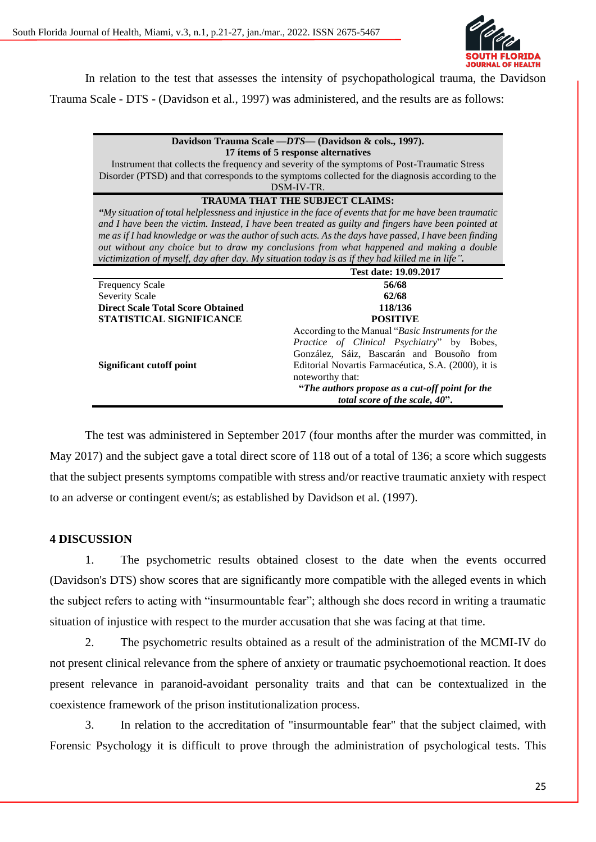

In relation to the test that assesses the intensity of psychopathological trauma, the Davidson

Trauma Scale - DTS - (Davidson et al., 1997) was administered, and the results are as follows:

**Davidson Trauma Scale** *—DTS—* **(Davidson & cols., 1997). 17 ítems of 5 response alternatives**

Instrument that collects the frequency and severity of the symptoms of Post-Traumatic Stress Disorder (PTSD) and that corresponds to the symptoms collected for the diagnosis according to the DSM-IV-TR.

### **TRAUMA THAT THE SUBJECT CLAIMS:**

*"My situation of total helplessness and injustice in the face of events that for me have been traumatic and I have been the victim. Instead, I have been treated as guilty and fingers have been pointed at me as if I had knowledge or was the author of such acts. As the days have passed, I have been finding out without any choice but to draw my conclusions from what happened and making a double victimization of myself, day after day. My situation today is as if they had killed me in life".*

|                                          | Test date: 19.09.2017                               |
|------------------------------------------|-----------------------------------------------------|
| <b>Frequency Scale</b>                   | 56/68                                               |
| <b>Severity Scale</b>                    | 62/68                                               |
| <b>Direct Scale Total Score Obtained</b> | 118/136                                             |
| STATISTICAL SIGNIFICANCE                 | <b>POSITIVE</b>                                     |
|                                          | According to the Manual "Basic Instruments for the  |
|                                          | Practice of Clinical Psychiatry" by Bobes,          |
|                                          | González, Sáiz, Bascarán and Bousoño from           |
| Significant cutoff point                 | Editorial Novartis Farmacéutica, S.A. (2000), it is |
|                                          | noteworthy that:                                    |
|                                          | "The authors propose as a cut-off point for the     |
|                                          | total score of the scale, 40".                      |

The test was administered in September 2017 (four months after the murder was committed, in May 2017) and the subject gave a total direct score of 118 out of a total of 136; a score which suggests that the subject presents symptoms compatible with stress and/or reactive traumatic anxiety with respect to an adverse or contingent event/s; as established by Davidson et al. (1997).

### **4 DISCUSSION**

1. The psychometric results obtained closest to the date when the events occurred (Davidson's DTS) show scores that are significantly more compatible with the alleged events in which the subject refers to acting with "insurmountable fear"; although she does record in writing a traumatic situation of injustice with respect to the murder accusation that she was facing at that time.

2. The psychometric results obtained as a result of the administration of the MCMI-IV do not present clinical relevance from the sphere of anxiety or traumatic psychoemotional reaction. It does present relevance in paranoid-avoidant personality traits and that can be contextualized in the coexistence framework of the prison institutionalization process.

3. In relation to the accreditation of "insurmountable fear" that the subject claimed, with Forensic Psychology it is difficult to prove through the administration of psychological tests. This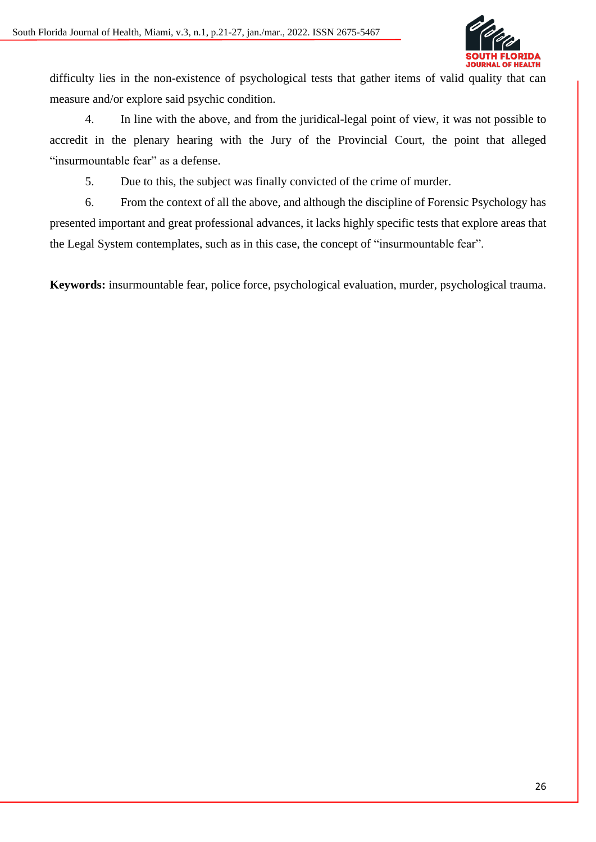

difficulty lies in the non-existence of psychological tests that gather items of valid quality that can measure and/or explore said psychic condition.

4. In line with the above, and from the juridical-legal point of view, it was not possible to accredit in the plenary hearing with the Jury of the Provincial Court, the point that alleged "insurmountable fear" as a defense.

5. Due to this, the subject was finally convicted of the crime of murder.

6. From the context of all the above, and although the discipline of Forensic Psychology has presented important and great professional advances, it lacks highly specific tests that explore areas that the Legal System contemplates, such as in this case, the concept of "insurmountable fear".

**Keywords:** insurmountable fear, police force, psychological evaluation, murder, psychological trauma.